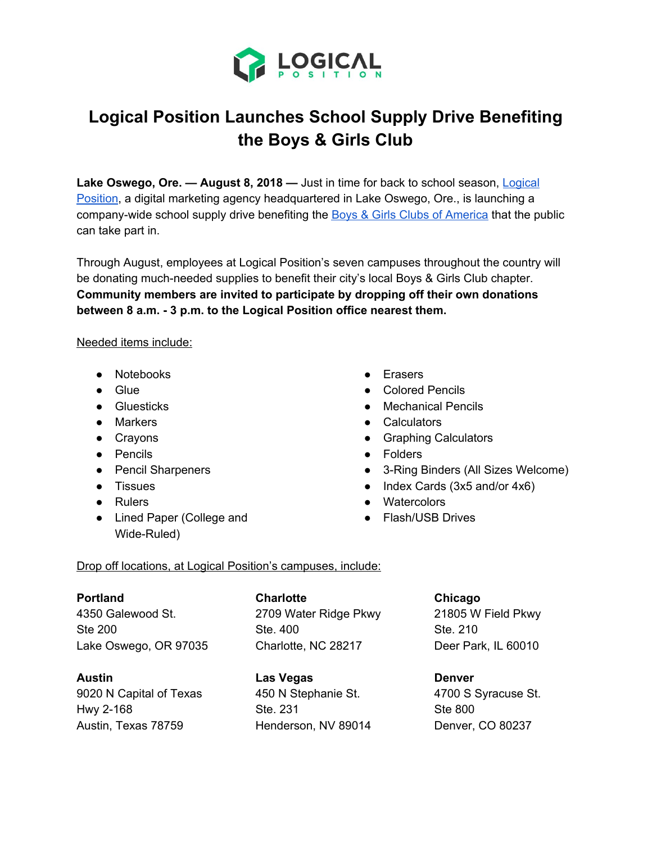

# **Logical Position Launches School Supply Drive Benefiting the Boys & Girls Club**

**Lake Oswego, Ore. — August 8, 2018 —** Just in time for back to school season, [Logical](https://www.logicalposition.com/) [Position](https://www.logicalposition.com/), a digital marketing agency headquartered in Lake Oswego, Ore., is launching a company-wide school supply drive benefiting the Boys & Girls Clubs of [America](https://www.bgca.org/?gclid=EAIaIQobChMIs7ueuJva3AIVxLXACh262gIlEAAYAiAAEgJUtvD_BwE) that the public can take part in.

Through August, employees at Logical Position's seven campuses throughout the country will be donating much-needed supplies to benefit their city's local Boys & Girls Club chapter. **Community members are invited to participate by dropping off their own donations between 8 a.m. - 3 p.m. to the Logical Position office nearest them.**

Needed items include:

- Notebooks
- Glue
- Gluesticks
- Markers
- Crayons
- Pencils
- Pencil Sharpeners
- Tissues
- Rulers
- Lined Paper (College and Wide-Ruled)
- Erasers
- Colored Pencils
- Mechanical Pencils
- Calculators
- Graphing Calculators
- Folders
- 3-Ring Binders (All Sizes Welcome)
- Index Cards (3x5 and/or 4x6)
- Watercolors
- Flash/USB Drives

### Drop off locations, at Logical Position's campuses, include:

## **Portland**

4350 Galewood St. Ste 200 Lake Oswego, OR 97035

### **Austin**

9020 N Capital of Texas Hwy 2-168 Austin, Texas 78759

**Charlotte** 2709 Water Ridge Pkwy Ste. 400 Charlotte, NC 28217

**Las Vegas** 450 N Stephanie St. Ste. 231 Henderson, NV 89014

**Chicago** 21805 W Field Pkwy Ste. 210 Deer Park, IL 60010

**Denver** 4700 S Syracuse St. Ste 800 Denver, CO 80237